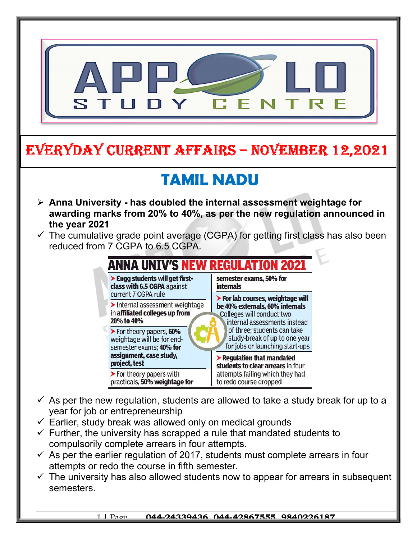

- $\checkmark$  As per the new regulation, students are allowed to take a study break for up to a year for job or entrepreneurship
- $\checkmark$  Earlier, study break was allowed only on medical grounds
- $\checkmark$  Further, the university has scrapped a rule that mandated students to compulsorily complete arrears in four attempts.
- $\checkmark$  As per the earlier regulation of 2017, students must complete arrears in four attempts or redo the course in fifth semester.
- $\checkmark$  The university has also allowed students now to appear for arrears in subsequent semesters.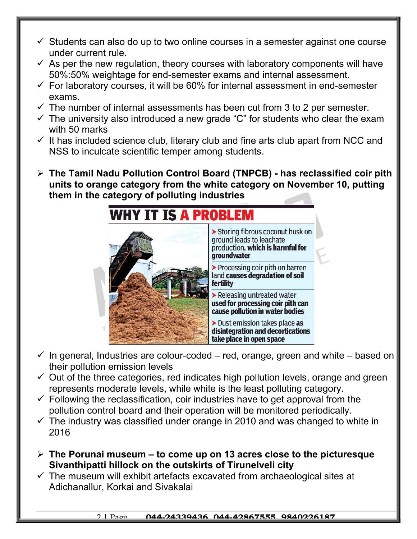- $\checkmark$  Students can also do up to two online courses in a semester against one course under current rule.
- $\checkmark$  As per the new regulation, theory courses with laboratory components will have 50%:50% weightage for end-semester exams and internal assessment.
- $\checkmark$  For laboratory courses, it will be 60% for internal assessment in end-semester exams.
- $\checkmark$  The number of internal assessments has been cut from 3 to 2 per semester.
- $\checkmark$  The university also introduced a new grade "C" for students who clear the exam with 50 marks
- $\checkmark$  It has included science club, literary club and fine arts club apart from NCC and NSS to inculcate scientific temper among students.
- $\triangleright$  The Tamil Nadu Pollution Control Board (TNPCB) has reclassified coir pith units to orange category from the white category on November 10, putting them in the category of polluting industries



- $\checkmark$  In general, Industries are colour-coded red, orange, green and white based on their pollution emission levels
- $\checkmark$  Out of the three categories, red indicates high pollution levels, orange and green represents moderate levels, while white is the least polluting category.
- $\checkmark$  Following the reclassification, coir industries have to get approval from the pollution control board and their operation will be monitored periodically.
- $\checkmark$  The industry was classified under orange in 2010 and was changed to white in 2016
- $\geq$  The Porunai museum to come up on 13 acres close to the picturesque Sivanthipatti hillock on the outskirts of Tirunelveli city
- $\checkmark$  The museum will exhibit artefacts excavated from archaeological sites at Adichanallur, Korkai and Sivakalai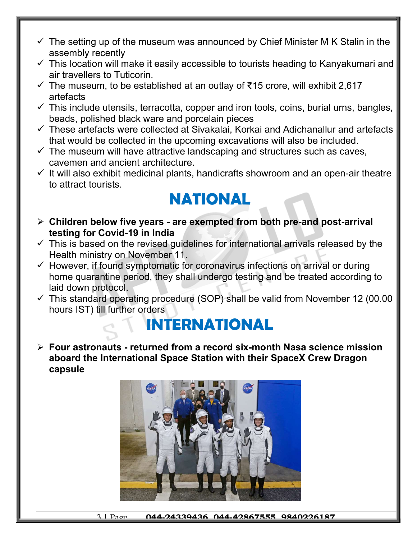- $\checkmark$  The setting up of the museum was announced by Chief Minister M K Stalin in the assembly recently
- $\checkmark$  This location will make it easily accessible to tourists heading to Kanyakumari and air travellers to Tuticorin.
- $\checkmark$  The museum, to be established at an outlay of ₹15 crore, will exhibit 2,617 artefacts
- $\checkmark$  This include utensils, terracotta, copper and iron tools, coins, burial urns, bangles, beads, polished black ware and porcelain pieces
- $\checkmark$  These artefacts were collected at Sivakalai. Korkai and Adichanallur and artefacts that would be collected in the upcoming excavations will also be included.
- $\checkmark$  The museum will have attractive landscaping and structures such as caves, cavemen and ancient architecture.
- $\checkmark$  It will also exhibit medicinal plants, handicrafts showroom and an open-air theatre to attract tourists.

## NATIONAL

- $\triangleright$  Children below five years are exempted from both pre-and post-arrival testing for Covid-19 in India
- $\checkmark$  This is based on the revised quidelines for international arrivals released by the Health ministry on November 11.
- $\checkmark$  However, if found symptomatic for coronavirus infections on arrival or during home quarantine period, they shall undergo testing and be treated according to laid down protocol.
- $\checkmark$  This standard operating procedure (SOP) shall be valid from November 12 (00.00 hours IST) till further orders

## INTERNATIONAL

 $\triangleright$  Four astronauts - returned from a record six-month Nasa science mission aboard the International Space Station with their SpaceX Crew Dragon capsule

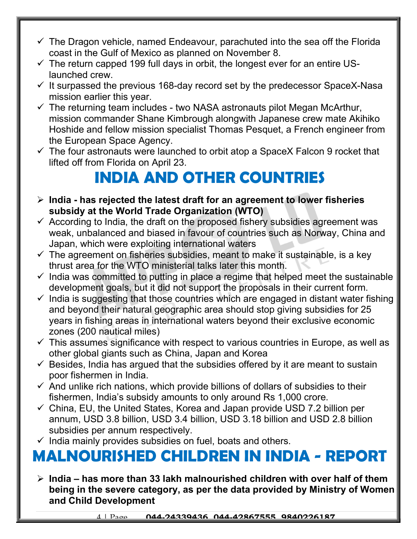- $\checkmark$  The Dragon vehicle, named Endeavour, parachuted into the sea off the Florida coast in the Gulf of Mexico as planned on November 8.
- $\checkmark$  The return capped 199 full days in orbit, the longest ever for an entire USlaunched crew.
- $\checkmark$  It surpassed the previous 168-day record set by the predecessor SpaceX-Nasa mission earlier this year.
- $\checkmark$  The returning team includes two NASA astronauts pilot Megan McArthur, mission commander Shane Kimbrough alongwith Japanese crew mate Akihiko Hoshide and fellow mission specialist Thomas Pesquet, a French engineer from the European Space Agency.
- $\checkmark$  The four astronauts were launched to orbit atop a SpaceX Falcon 9 rocket that lifted off from Florida on April 23.

## INDIA AND OTHER COUNTRIES

- $\triangleright$  India has rejected the latest draft for an agreement to lower fisheries subsidy at the World Trade Organization (WTO)
- $\checkmark$  According to India, the draft on the proposed fishery subsidies agreement was weak, unbalanced and biased in favour of countries such as Norway, China and Japan, which were exploiting international waters
- $\checkmark$  The agreement on fisheries subsidies, meant to make it sustainable, is a key thrust area for the WTO ministerial talks later this month.
- $\checkmark$  India was committed to putting in place a regime that helped meet the sustainable development goals, but it did not support the proposals in their current form.
- $\checkmark$  India is suggesting that those countries which are engaged in distant water fishing and beyond their natural geographic area should stop giving subsidies for 25 years in fishing areas in international waters beyond their exclusive economic zones (200 nautical miles)
- $\checkmark$  This assumes significance with respect to various countries in Europe, as well as other global giants such as China, Japan and Korea
- $\checkmark$  Besides, India has argued that the subsidies offered by it are meant to sustain poor fishermen in India.
- $\checkmark$  And unlike rich nations, which provide billions of dollars of subsidies to their fishermen, India's subsidy amounts to only around Rs 1,000 crore.
- $\checkmark$  China, EU, the United States, Korea and Japan provide USD 7.2 billion per annum, USD 3.8 billion, USD 3.4 billion, USD 3.18 billion and USD 2.8 billion subsidies per annum respectively.
- $\checkmark$  India mainly provides subsidies on fuel, boats and others.

## MALNOURISHED CHILDREN IN INDIA - REPORT

 $\triangleright$  India – has more than 33 lakh malnourished children with over half of them being in the severe category, as per the data provided by Ministry of Women and Child Development